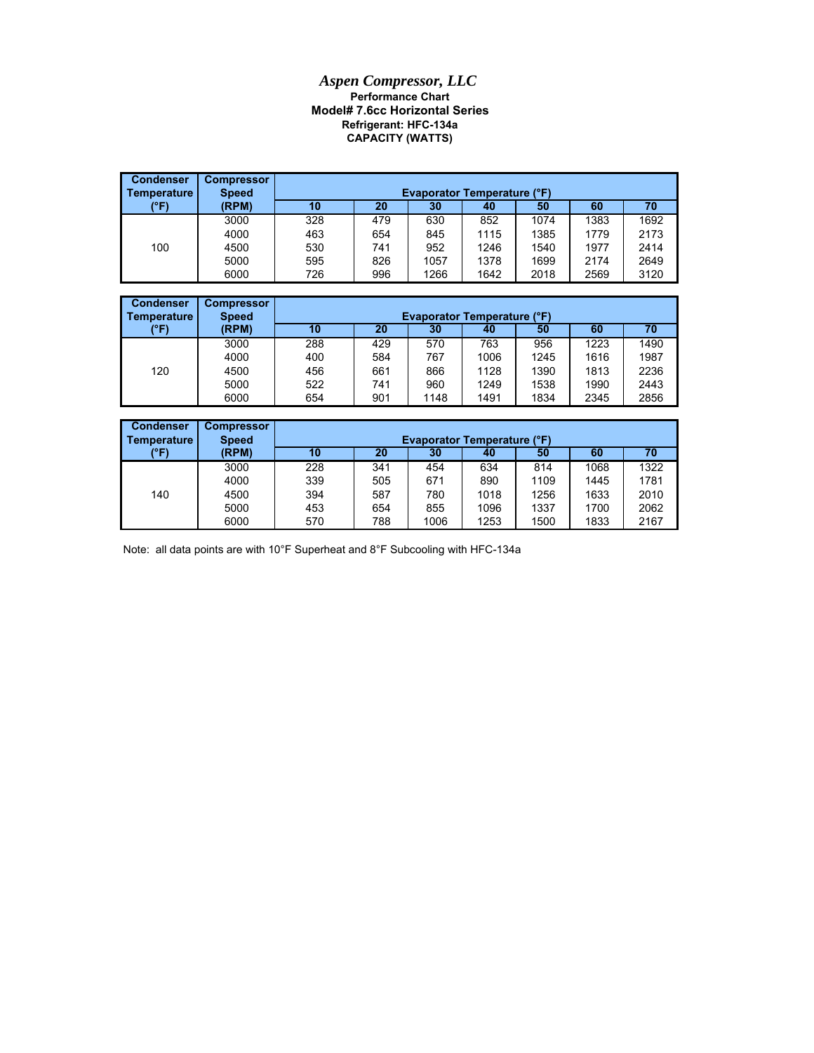## *Aspen Compressor, LLC* **Performance Chart Model# 7.6cc Horizontal Series CAPACITY (WATTS) Refrigerant: HFC-134a**

| <b>Condenser</b><br>Temperature | <b>Compressor</b><br><b>Speed</b> | <b>Evaporator Temperature (°F)</b> |     |      |      |      |      |      |  |
|---------------------------------|-----------------------------------|------------------------------------|-----|------|------|------|------|------|--|
| (°F)                            | (RPM)                             | 10                                 | 20  | 30   | 40   | 50   | 60   | 70   |  |
|                                 | 3000                              | 328                                | 479 | 630  | 852  | 1074 | 1383 | 1692 |  |
|                                 | 4000                              | 463                                | 654 | 845  | 1115 | 1385 | 1779 | 2173 |  |
| 100                             | 4500                              | 530                                | 741 | 952  | 1246 | 1540 | 1977 | 2414 |  |
|                                 | 5000                              | 595                                | 826 | 1057 | 1378 | 1699 | 2174 | 2649 |  |
|                                 | 6000                              | 726                                | 996 | 1266 | 1642 | 2018 | 2569 | 3120 |  |

| <b>Condenser</b> | <b>Compressor</b> |     |                                    |      |      |      |      |      |  |  |
|------------------|-------------------|-----|------------------------------------|------|------|------|------|------|--|--|
| Temperature      | <b>Speed</b>      |     | <b>Evaporator Temperature (°F)</b> |      |      |      |      |      |  |  |
| (°F)             | (RPM)             | 10  | 20                                 | 30   | 40   | 50   | 60   | 70   |  |  |
|                  | 3000              | 288 | 429                                | 570  | 763  | 956  | 1223 | 1490 |  |  |
|                  | 4000              | 400 | 584                                | 767  | 1006 | 1245 | 1616 | 1987 |  |  |
| 120              | 4500              | 456 | 661                                | 866  | 1128 | 1390 | 1813 | 2236 |  |  |
|                  | 5000              | 522 | 741                                | 960  | 1249 | 1538 | 1990 | 2443 |  |  |
|                  | 6000              | 654 | 901                                | 1148 | 1491 | 1834 | 2345 | 2856 |  |  |

| <b>Condenser</b><br>Temperature | <b>Compressor</b><br><b>Speed</b> |     | <b>Evaporator Temperature (°F)</b> |      |      |      |      |      |  |  |
|---------------------------------|-----------------------------------|-----|------------------------------------|------|------|------|------|------|--|--|
| (°F)                            | (RPM)                             | 10  | 20                                 | 30   | 40   | 50   | 60   | 70   |  |  |
|                                 | 3000                              | 228 | 341                                | 454  | 634  | 814  | 1068 | 1322 |  |  |
|                                 | 4000                              | 339 | 505                                | 671  | 890  | 1109 | 1445 | 1781 |  |  |
| 140                             | 4500                              | 394 | 587                                | 780  | 1018 | 1256 | 1633 | 2010 |  |  |
|                                 | 5000                              | 453 | 654                                | 855  | 1096 | 1337 | 1700 | 2062 |  |  |
|                                 | 6000                              | 570 | 788                                | 1006 | 1253 | 1500 | 1833 | 2167 |  |  |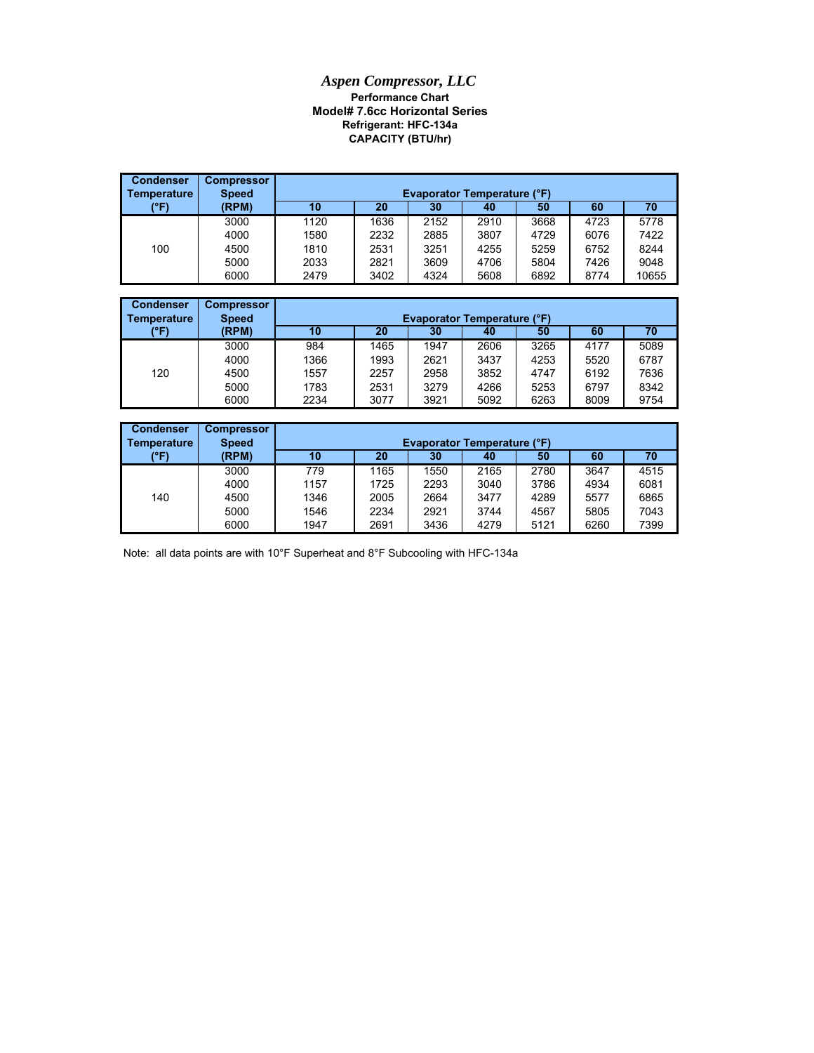## *Aspen Compressor, LLC* **Performance Chart Model# 7.6cc Horizontal Series Refrigerant: HFC-134a CAPACITY (BTU/hr)**

| <b>Condenser</b><br>Temperature | <b>Compressor</b><br><b>Speed</b> |      | <b>Evaporator Temperature (°F)</b> |      |      |      |      |       |  |  |
|---------------------------------|-----------------------------------|------|------------------------------------|------|------|------|------|-------|--|--|
| (°F)                            | (RPM)                             | 10   | 20                                 | 30   | 40   | 50   | 60   | 70    |  |  |
|                                 | 3000                              | 1120 | 1636                               | 2152 | 2910 | 3668 | 4723 | 5778  |  |  |
|                                 | 4000                              | 1580 | 2232                               | 2885 | 3807 | 4729 | 6076 | 7422  |  |  |
| 100                             | 4500                              | 1810 | 2531                               | 3251 | 4255 | 5259 | 6752 | 8244  |  |  |
|                                 | 5000                              | 2033 | 2821                               | 3609 | 4706 | 5804 | 7426 | 9048  |  |  |
|                                 | 6000                              | 2479 | 3402                               | 4324 | 5608 | 6892 | 8774 | 10655 |  |  |

| <b>Condenser</b><br><b>Temperature</b> | <b>Compressor</b><br><b>Speed</b> | <b>Evaporator Temperature (°F)</b> |      |      |      |      |      |      |  |
|----------------------------------------|-----------------------------------|------------------------------------|------|------|------|------|------|------|--|
| (°F)                                   | (RPM)                             | 10                                 | 20   | 30   | 40   | 50   | 60   | 70   |  |
|                                        | 3000                              | 984                                | 1465 | 1947 | 2606 | 3265 | 4177 | 5089 |  |
|                                        | 4000                              | 1366                               | 1993 | 2621 | 3437 | 4253 | 5520 | 6787 |  |
| 120                                    | 4500                              | 1557                               | 2257 | 2958 | 3852 | 4747 | 6192 | 7636 |  |
|                                        | 5000                              | 1783                               | 2531 | 3279 | 4266 | 5253 | 6797 | 8342 |  |
|                                        | 6000                              | 2234                               | 3077 | 3921 | 5092 | 6263 | 8009 | 9754 |  |

| <b>Condenser</b><br>l Temperature | <b>Compressor</b><br><b>Speed</b> | <b>Evaporator Temperature (°F)</b> |      |      |      |      |      |      |  |
|-----------------------------------|-----------------------------------|------------------------------------|------|------|------|------|------|------|--|
| (°F)                              | (RPM)                             | 10                                 | 20   | 30   | 40   | 50   | 60   | 70   |  |
|                                   | 3000                              | 779                                | 1165 | 1550 | 2165 | 2780 | 3647 | 4515 |  |
|                                   | 4000                              | 1157                               | 1725 | 2293 | 3040 | 3786 | 4934 | 6081 |  |
| 140                               | 4500                              | 1346                               | 2005 | 2664 | 3477 | 4289 | 5577 | 6865 |  |
|                                   | 5000                              | 1546                               | 2234 | 2921 | 3744 | 4567 | 5805 | 7043 |  |
|                                   | 6000                              | 1947                               | 2691 | 3436 | 4279 | 5121 | 6260 | 7399 |  |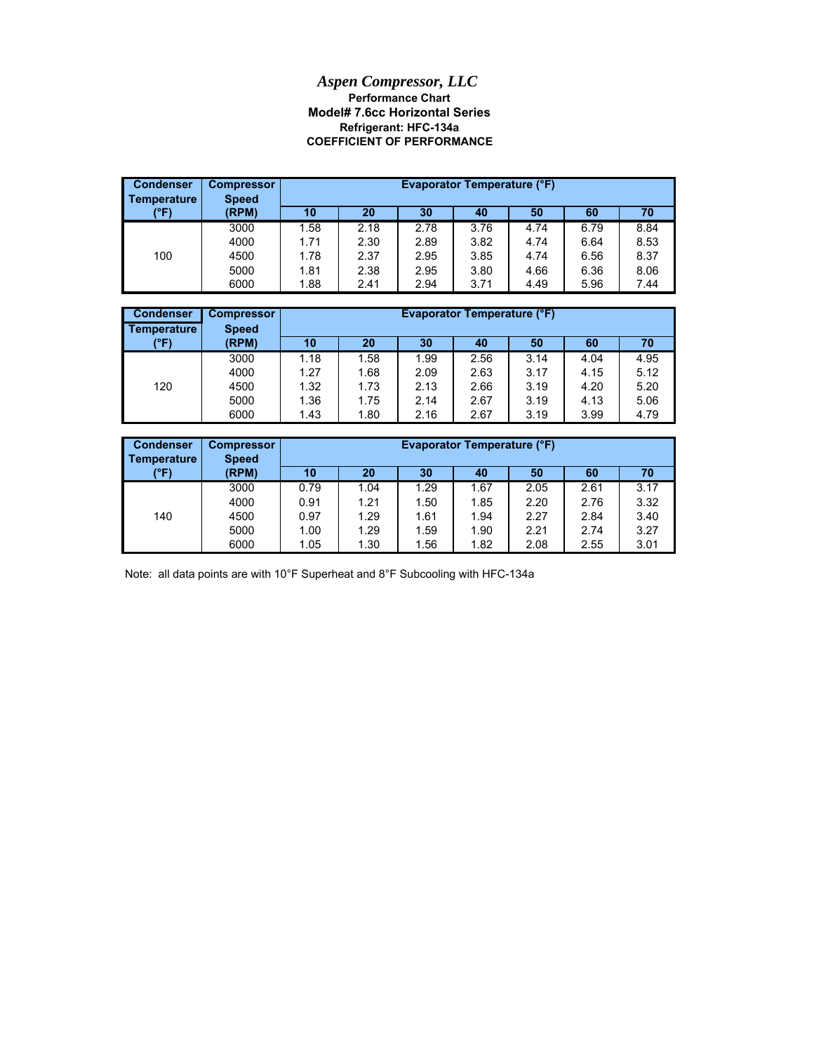## **Model# 7.6cc Horizontal Series** *Aspen Compressor, LLC* **Performance Chart COEFFICIENT OF PERFORMANCE Refrigerant: HFC-134a**

| <b>Condenser</b><br>Temperature | <b>Compressor</b><br><b>Speed</b> |      | <b>Evaporator Temperature (°F)</b> |      |      |      |      |      |  |
|---------------------------------|-----------------------------------|------|------------------------------------|------|------|------|------|------|--|
| (°F)                            | (RPM)                             | 10   | 20                                 | 30   | 40   | 50   | 60   | 70   |  |
|                                 | 3000                              | .58  | 2.18                               | 2.78 | 3.76 | 4.74 | 6.79 | 8.84 |  |
|                                 | 4000                              | 1.71 | 2.30                               | 2.89 | 3.82 | 4.74 | 6.64 | 8.53 |  |
| 100                             | 4500                              | 1.78 | 2.37                               | 2.95 | 3.85 | 4.74 | 6.56 | 8.37 |  |
|                                 | 5000                              | 1.81 | 2.38                               | 2.95 | 3.80 | 4.66 | 6.36 | 8.06 |  |
|                                 | 6000                              | 1.88 | 2.41                               | 2.94 | 3.71 | 4.49 | 5.96 | 7.44 |  |

| <b>Condenser</b><br>Temperature | <b>Compressor</b><br><b>Speed</b> | <b>Evaporator Temperature (°F)</b><br>20<br>10<br>60<br>30<br>50<br>70<br>40<br>4.95<br>1.18<br>.58<br>2.56<br>1.99<br>3.14<br>4.04<br>1.27<br>1.68<br>4.15<br>5.12<br>2.09<br>2.63<br>3.17<br>5.20<br>1.32<br>1.73<br>2.13<br>3.19<br>4.20<br>2.66 |      |      |      |      |      |      |
|---------------------------------|-----------------------------------|-----------------------------------------------------------------------------------------------------------------------------------------------------------------------------------------------------------------------------------------------------|------|------|------|------|------|------|
| (°F)                            | (RPM)                             |                                                                                                                                                                                                                                                     |      |      |      |      |      |      |
|                                 | 3000                              |                                                                                                                                                                                                                                                     |      |      |      |      |      |      |
|                                 | 4000                              |                                                                                                                                                                                                                                                     |      |      |      |      |      |      |
| 120                             | 4500                              |                                                                                                                                                                                                                                                     |      |      |      |      |      |      |
|                                 | 5000                              | 1.36                                                                                                                                                                                                                                                | 1.75 | 2.14 | 2.67 | 3.19 | 4.13 | 5.06 |
|                                 | 6000                              | 1.43                                                                                                                                                                                                                                                | 1.80 | 2.16 | 2.67 | 3.19 | 3.99 | 4.79 |

| <b>Condenser</b><br>Temperature | <b>Compressor</b><br><b>Speed</b> |      | <b>Evaporator Temperature (°F)</b> |      |      |      |      |      |  |
|---------------------------------|-----------------------------------|------|------------------------------------|------|------|------|------|------|--|
| (°F)                            | (RPM)                             | 10   | 20                                 | 30   | 40   | 50   | 60   | 70   |  |
|                                 | 3000                              | 0.79 | 1.04                               | 1.29 | 1.67 | 2.05 | 2.61 | 3.17 |  |
|                                 | 4000                              | 0.91 | 1.21                               | 1.50 | 1.85 | 2.20 | 2.76 | 3.32 |  |
| 140                             | 4500                              | 0.97 | 1.29                               | 1.61 | 1.94 | 2.27 | 2.84 | 3.40 |  |
|                                 | 5000                              | 1.00 | 1.29                               | 1.59 | 1.90 | 2.21 | 2.74 | 3.27 |  |
|                                 | 6000                              | 1.05 | 1.30                               | 1.56 | 1.82 | 2.08 | 2.55 | 3.01 |  |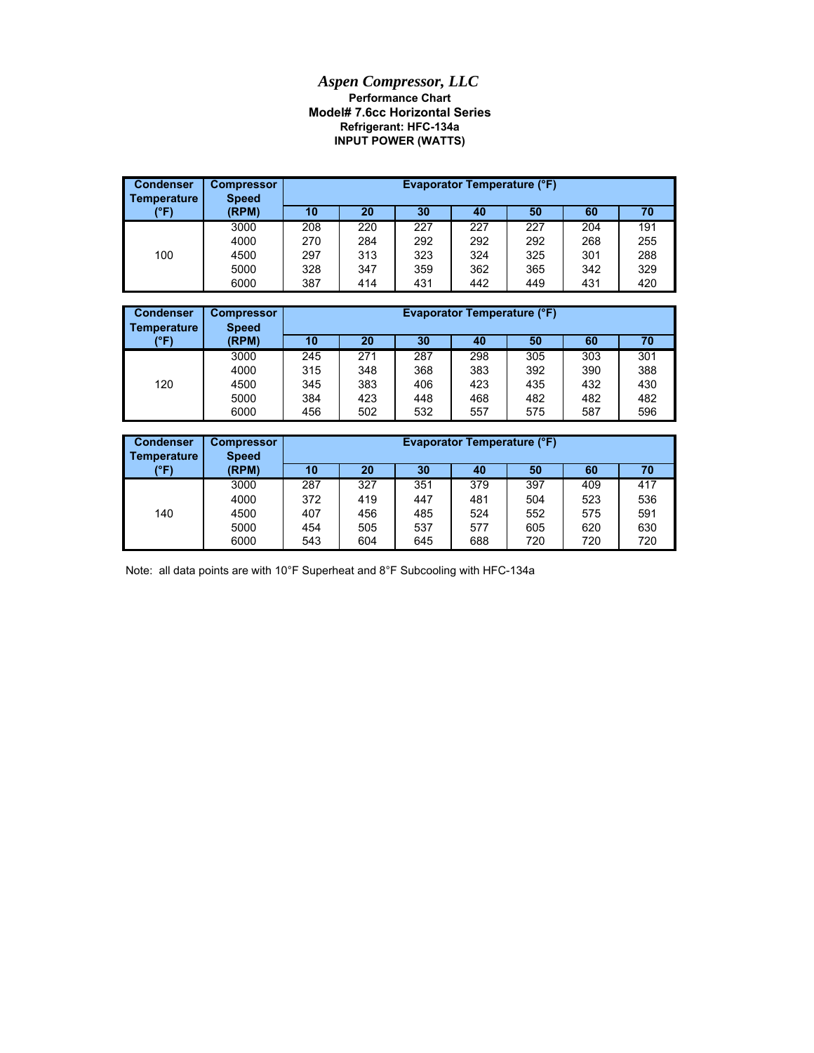## *Aspen Compressor, LLC* **Refrigerant: HFC-134a Model# 7.6cc Horizontal Series Performance Chart INPUT POWER (WATTS)**

| <b>Condenser</b><br><b>Temperature</b> | <b>Compressor</b><br><b>Speed</b> |     |     |     | <b>Evaporator Temperature (°F)</b> |     |     |     |
|----------------------------------------|-----------------------------------|-----|-----|-----|------------------------------------|-----|-----|-----|
| (°F)                                   | (RPM)                             | 10  | 20  | 30  | 40                                 | 50  | 60  | 70  |
|                                        | 3000                              | 208 | 220 | 227 | 227                                | 227 | 204 | 191 |
|                                        | 4000                              | 270 | 284 | 292 | 292                                | 292 | 268 | 255 |
| 100                                    | 4500                              | 297 | 313 | 323 | 324                                | 325 | 301 | 288 |
|                                        | 5000                              | 328 | 347 | 359 | 362                                | 365 | 342 | 329 |
|                                        | 6000                              | 387 | 414 | 431 | 442                                | 449 | 431 | 420 |

| <b>Condenser</b><br>Temperature | <b>Compressor</b><br><b>Speed</b> |     | Evaporator Temperature (°F) |     |     |     |     |     |  |  |
|---------------------------------|-----------------------------------|-----|-----------------------------|-----|-----|-----|-----|-----|--|--|
| (°F)                            | (RPM)                             | 10  | 20                          | 30  | 40  | 50  | 60  | 70  |  |  |
|                                 | 3000                              | 245 | 271                         | 287 | 298 | 305 | 303 | 301 |  |  |
|                                 | 4000                              | 315 | 348                         | 368 | 383 | 392 | 390 | 388 |  |  |
| 120                             | 4500                              | 345 | 383                         | 406 | 423 | 435 | 432 | 430 |  |  |
|                                 | 5000                              | 384 | 423                         | 448 | 468 | 482 | 482 | 482 |  |  |
|                                 | 6000                              | 456 | 502                         | 532 | 557 | 575 | 587 | 596 |  |  |

| <b>Condenser</b><br>Temperature | <b>Compressor</b><br><b>Speed</b> |     | Evaporator Temperature (°F)<br>30<br>60<br>70<br>10<br>20<br>50<br>40 |     |     |     |     |     |  |
|---------------------------------|-----------------------------------|-----|-----------------------------------------------------------------------|-----|-----|-----|-----|-----|--|
| (°F)                            | (RPM)                             |     |                                                                       |     |     |     |     |     |  |
|                                 | 3000                              | 287 | 327                                                                   | 351 | 379 | 397 | 409 | 417 |  |
|                                 | 4000                              | 372 | 419                                                                   | 447 | 481 | 504 | 523 | 536 |  |
| 140                             | 4500                              | 407 | 456                                                                   | 485 | 524 | 552 | 575 | 591 |  |
|                                 | 5000                              | 454 | 505                                                                   | 537 | 577 | 605 | 620 | 630 |  |
|                                 | 6000                              | 543 | 604                                                                   | 645 | 688 | 720 | 720 | 720 |  |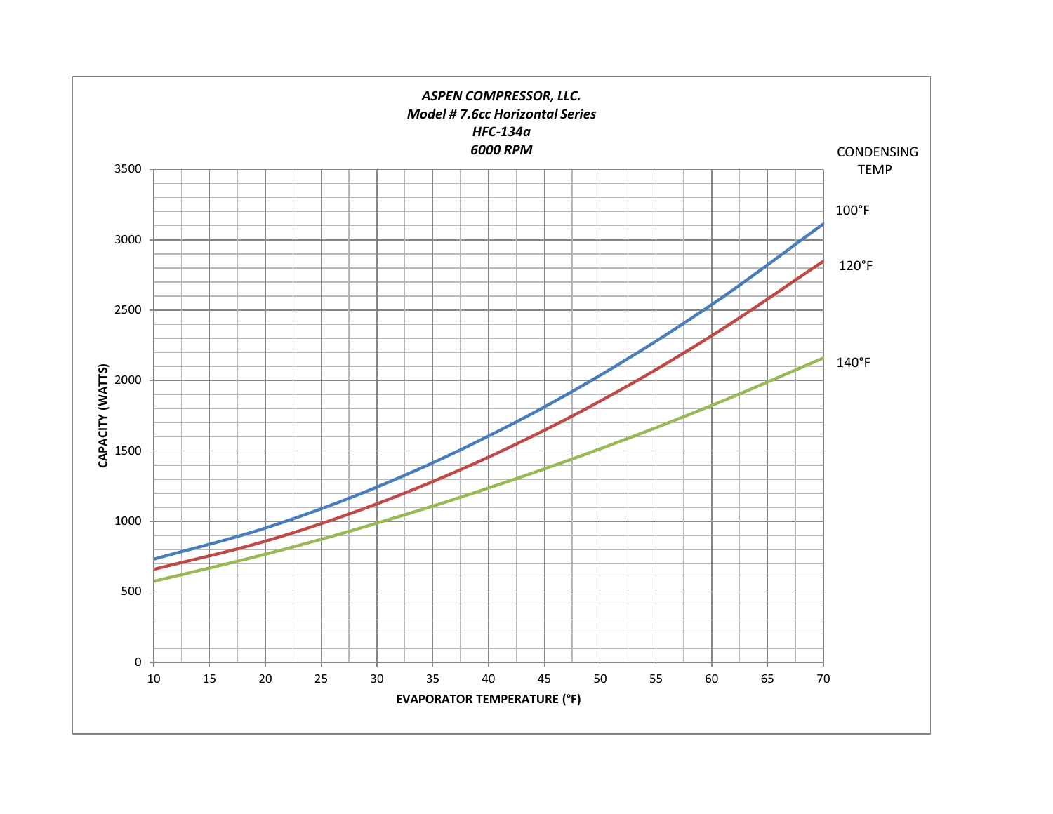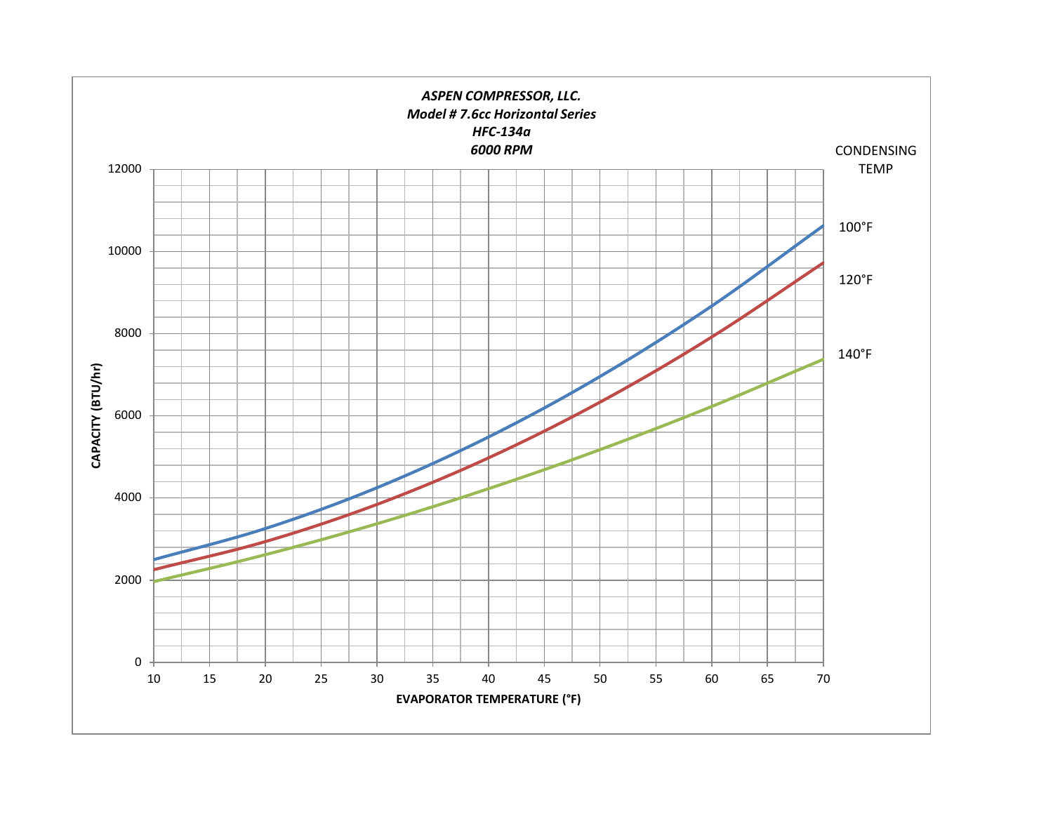